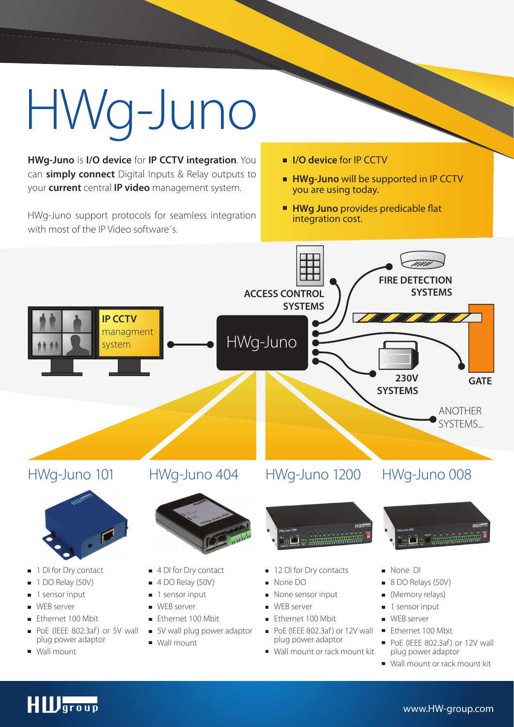# HWg-Juno

**HWg-Juno** is **I/O device** for **IP CCTV integration**. You can **simply connect** Digital Inputs & Relay outputs to your **current** central **IP video** management system.

HWg-Juno support protocols for seamless integration with most of the IP Video software´s.

- **I/O device** for IP CCTV
- **HWg-Juno** will be supported in IP CCTV you are using today.
- **HWg Juno** provides predicable flat integration cost.



# **HID**group